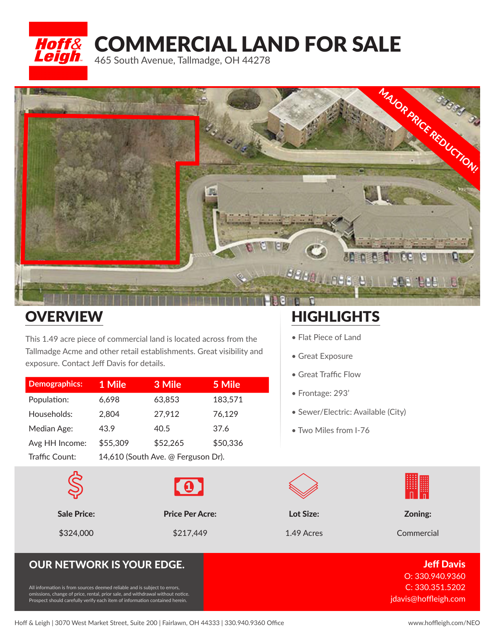



## **OVERVIEW**

This 1.49 acre piece of commercial land is located across from the Tallmadge Acme and other retail establishments. Great visibility and exposure. Contact Jeff Davis for details.

| <b>Demographics:</b> | 1 Mile                             | 3 Mile   | 5 Mile   |
|----------------------|------------------------------------|----------|----------|
| Population:          | 6.698                              | 63,853   | 183,571  |
| Households:          | 2,804                              | 27,912   | 76,129   |
| Median Age:          | 43.9                               | 40.5     | 37.6     |
| Avg HH Income:       | \$55,309                           | \$52,265 | \$50,336 |
| Traffic Count:       | 14,610 (South Ave. @ Ferguson Dr). |          |          |





## **HIGHLIGHTS**

- Flat Piece of Land
- Great Exposure
- Great Traffic Flow
- Frontage: 293'
- Sewer/Electric: Available (City)
- Two Miles from I-76



## **OUR NETWORK IS YOUR EDGE.** Jeff Davis And the United States of the United States of the United States and Testi

All information is from sources deemed reliable and is subject to errors, omissions, change of price, rental, prior sale, and withdrawal without notice. Prospect should carefully verify each item of information contained herein.